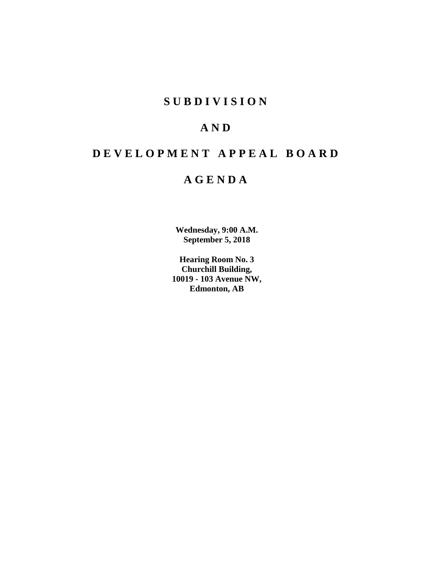# **S U B D I V I S I O N**

# **A N D**

# **D E V E L O P M E N T A P P E A L B O A R D**

# **A G E N D A**

**Wednesday, 9:00 A.M. September 5, 2018**

**Hearing Room No. 3 Churchill Building, 10019 - 103 Avenue NW, Edmonton, AB**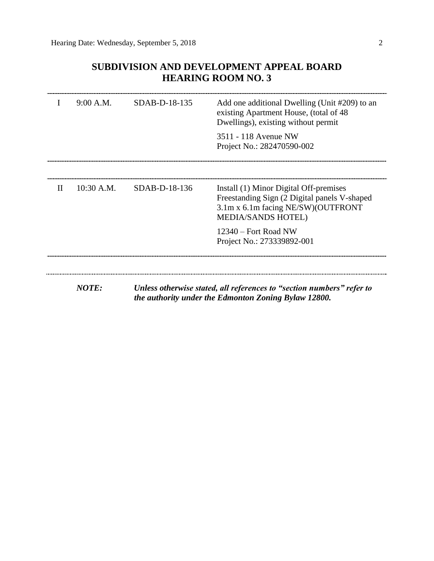# **SUBDIVISION AND DEVELOPMENT APPEAL BOARD HEARING ROOM NO. 3**

|       | 9:00 A.M.    | SDAB-D-18-135 | Add one additional Dwelling (Unit #209) to an<br>existing Apartment House, (total of 48<br>Dwellings), existing without permit                            |
|-------|--------------|---------------|-----------------------------------------------------------------------------------------------------------------------------------------------------------|
|       |              |               | 3511 - 118 Avenue NW<br>Project No.: 282470590-002                                                                                                        |
|       |              |               |                                                                                                                                                           |
| $\Pi$ | $10:30$ A.M. | SDAB-D-18-136 | Install (1) Minor Digital Off-premises<br>Freestanding Sign (2 Digital panels V-shaped<br>3.1m x 6.1m facing NE/SW)(OUTFRONT<br><b>MEDIA/SANDS HOTEL)</b> |
|       |              |               | $12340 -$ Fort Road NW<br>Project No.: 273339892-001                                                                                                      |
|       |              |               |                                                                                                                                                           |
|       | <b>NOTE:</b> |               | Unless otherwise stated, all references to "section numbers" refer to<br>the authority under the Edmonton Zoning Bylaw 12800.                             |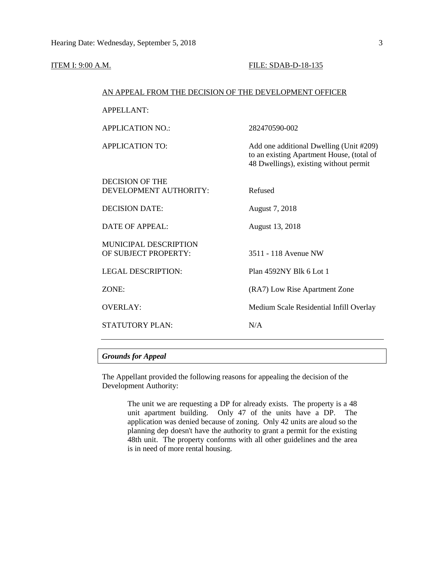#### ITEM I: 9:00 A.M. **FILE: SDAB-D-18-135**

| AN APPEAL FROM THE DECISION OF THE DEVELOPMENT OFFICER |                                                                                                                                |  |  |
|--------------------------------------------------------|--------------------------------------------------------------------------------------------------------------------------------|--|--|
| <b>APPELLANT:</b>                                      |                                                                                                                                |  |  |
| <b>APPLICATION NO.:</b>                                | 282470590-002                                                                                                                  |  |  |
| APPLICATION TO:                                        | Add one additional Dwelling (Unit #209)<br>to an existing Apartment House, (total of<br>48 Dwellings), existing without permit |  |  |
| DECISION OF THE<br>DEVELOPMENT AUTHORITY:              | Refused                                                                                                                        |  |  |
| <b>DECISION DATE:</b>                                  | August 7, 2018                                                                                                                 |  |  |
| DATE OF APPEAL:                                        | August 13, 2018                                                                                                                |  |  |
| <b>MUNICIPAL DESCRIPTION</b><br>OF SUBJECT PROPERTY:   | 3511 - 118 Avenue NW                                                                                                           |  |  |
| <b>LEGAL DESCRIPTION:</b>                              | Plan 4592NY Blk 6 Lot 1                                                                                                        |  |  |
| ZONE:                                                  | (RA7) Low Rise Apartment Zone                                                                                                  |  |  |
| OVERLAY:                                               | Medium Scale Residential Infill Overlay                                                                                        |  |  |
| STATUTORY PLAN:                                        | N/A                                                                                                                            |  |  |

# *Grounds for Appeal*

The Appellant provided the following reasons for appealing the decision of the Development Authority:

> The unit we are requesting a DP for already exists. The property is a 48 unit apartment building. Only 47 of the units have a DP. The application was denied because of zoning. Only 42 units are aloud so the planning dep doesn't have the authority to grant a permit for the existing 48th unit. The property conforms with all other guidelines and the area is in need of more rental housing.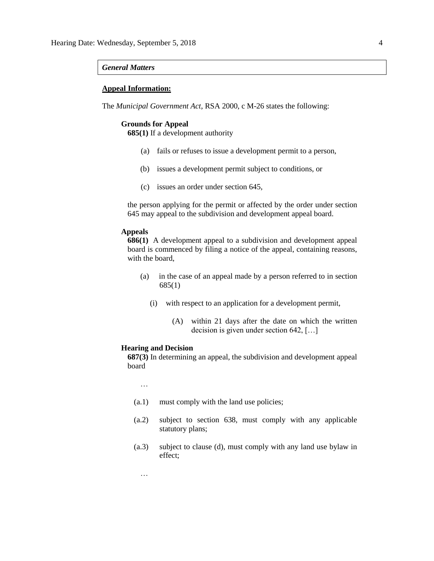#### *General Matters*

#### **Appeal Information:**

The *Municipal Government Act*, RSA 2000, c M-26 states the following:

# **Grounds for Appeal**

**685(1)** If a development authority

- (a) fails or refuses to issue a development permit to a person,
- (b) issues a development permit subject to conditions, or
- (c) issues an order under section 645,

the person applying for the permit or affected by the order under section 645 may appeal to the subdivision and development appeal board.

### **Appeals**

**686(1)** A development appeal to a subdivision and development appeal board is commenced by filing a notice of the appeal, containing reasons, with the board,

- (a) in the case of an appeal made by a person referred to in section 685(1)
	- (i) with respect to an application for a development permit,
		- (A) within 21 days after the date on which the written decision is given under section 642, […]

#### **Hearing and Decision**

**687(3)** In determining an appeal, the subdivision and development appeal board

…

- (a.1) must comply with the land use policies;
- (a.2) subject to section 638, must comply with any applicable statutory plans;
- (a.3) subject to clause (d), must comply with any land use bylaw in effect;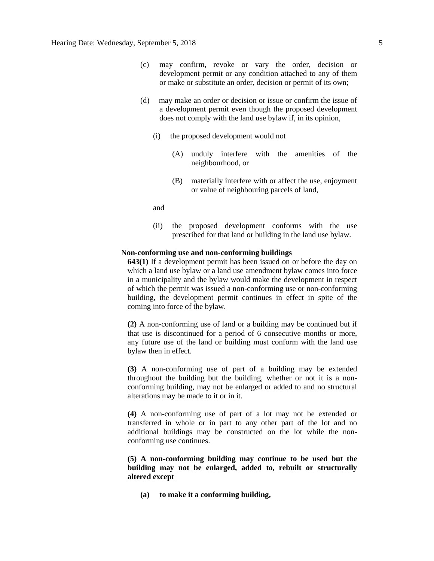- (c) may confirm, revoke or vary the order, decision or development permit or any condition attached to any of them or make or substitute an order, decision or permit of its own;
- (d) may make an order or decision or issue or confirm the issue of a development permit even though the proposed development does not comply with the land use bylaw if, in its opinion,
	- (i) the proposed development would not
		- (A) unduly interfere with the amenities of the neighbourhood, or
		- (B) materially interfere with or affect the use, enjoyment or value of neighbouring parcels of land,

and

(ii) the proposed development conforms with the use prescribed for that land or building in the land use bylaw.

## **Non-conforming use and non-conforming buildings**

**643(1)** If a development permit has been issued on or before the day on which a land use bylaw or a land use amendment bylaw comes into force in a municipality and the bylaw would make the development in respect of which the permit was issued a non-conforming use or non-conforming building, the development permit continues in effect in spite of the coming into force of the bylaw.

**(2)** A non-conforming use of land or a building may be continued but if that use is discontinued for a period of 6 consecutive months or more, any future use of the land or building must conform with the land use bylaw then in effect.

**(3)** A non-conforming use of part of a building may be extended throughout the building but the building, whether or not it is a nonconforming building, may not be enlarged or added to and no structural alterations may be made to it or in it.

**(4)** A non-conforming use of part of a lot may not be extended or transferred in whole or in part to any other part of the lot and no additional buildings may be constructed on the lot while the nonconforming use continues.

**(5) A non-conforming building may continue to be used but the building may not be enlarged, added to, rebuilt or structurally altered except**

**(a) to make it a conforming building,**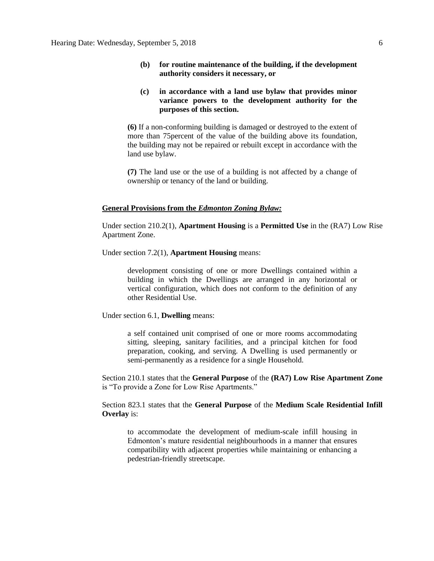**(b) for routine maintenance of the building, if the development authority considers it necessary, or** 

# **(c) in accordance with a land use bylaw that provides minor variance powers to the development authority for the purposes of this section.**

**(6)** If a non-conforming building is damaged or destroyed to the extent of more than 75percent of the value of the building above its foundation, the building may not be repaired or rebuilt except in accordance with the land use bylaw.

**(7)** The land use or the use of a building is not affected by a change of ownership or tenancy of the land or building.

#### **General Provisions from the** *Edmonton Zoning Bylaw:*

Under section 210.2(1), **Apartment Housing** is a **Permitted Use** in the (RA7) Low Rise Apartment Zone.

Under section 7.2(1), **Apartment Housing** means:

development consisting of one or more Dwellings contained within a building in which the Dwellings are arranged in any horizontal or vertical configuration, which does not conform to the definition of any other Residential Use.

Under section 6.1, **Dwelling** means:

a self contained unit comprised of one or more rooms accommodating sitting, sleeping, sanitary facilities, and a principal kitchen for food preparation, cooking, and serving. A Dwelling is used permanently or semi-permanently as a residence for a single Household.

Section 210.1 states that the **General Purpose** of the **(RA7) Low Rise Apartment Zone** is "To provide a Zone for Low Rise Apartments."

Section 823.1 states that the **General Purpose** of the **Medium Scale Residential Infill Overlay** is:

to accommodate the development of medium-scale infill housing in Edmonton's mature residential neighbourhoods in a manner that ensures compatibility with adjacent properties while maintaining or enhancing a pedestrian-friendly streetscape.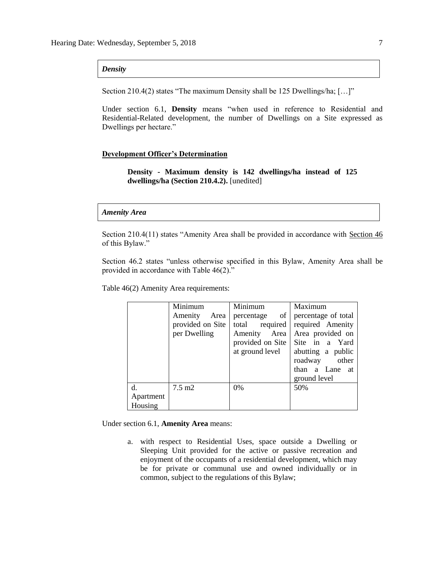## *Density*

Section 210.4(2) states "The maximum Density shall be 125 Dwellings/ha; […]"

Under section 6.1, **Density** means "when used in reference to Residential and Residential-Related development, the number of Dwellings on a Site expressed as Dwellings per hectare."

#### **Development Officer's Determination**

**Density - Maximum density is 142 dwellings/ha instead of 125 dwellings/ha (Section 210.4.2).** [unedited]

#### *Amenity Area*

Section 210.4(11) states "Amenity Area shall be provided in accordance with Section 46 of this Bylaw."

Section 46.2 states "unless otherwise specified in this Bylaw, Amenity Area shall be provided in accordance with Table 46(2)."

Table 46(2) Amenity Area requirements:

|           | Minimum          | Minimum          | Maximum             |
|-----------|------------------|------------------|---------------------|
|           | Area<br>Amenity  | percentage of    | percentage of total |
|           | provided on Site | total required   | required Amenity    |
|           | per Dwelling     | Amenity Area     | Area provided on    |
|           |                  | provided on Site | Site in a Yard      |
|           |                  | at ground level  | abutting a public   |
|           |                  |                  | roadway<br>other    |
|           |                  |                  | than a Lane at      |
|           |                  |                  | ground level        |
| d.        | $7.5 \text{ m2}$ | $0\%$            | 50%                 |
| Apartment |                  |                  |                     |
| Housing   |                  |                  |                     |

Under section 6.1, **Amenity Area** means:

a. with respect to Residential Uses, space outside a Dwelling or Sleeping Unit provided for the active or passive recreation and enjoyment of the occupants of a residential development, which may be for private or communal use and owned individually or in common, subject to the regulations of this Bylaw;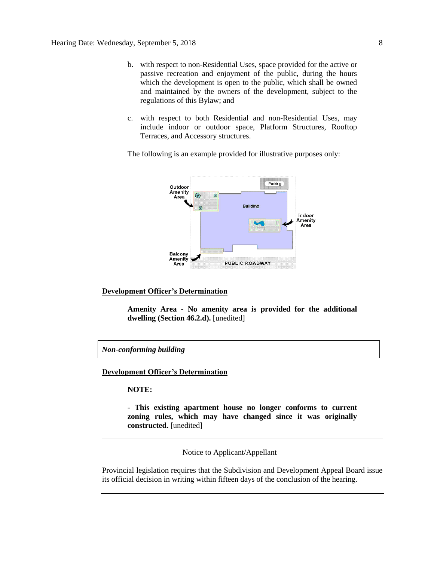- b. with respect to non-Residential Uses, space provided for the active or passive recreation and enjoyment of the public, during the hours which the development is open to the public, which shall be owned and maintained by the owners of the development, subject to the regulations of this Bylaw; and
- c. with respect to both Residential and non-Residential Uses, may include indoor or outdoor space, Platform Structures, Rooftop Terraces, and Accessory structures.

The following is an example provided for illustrative purposes only:



#### **Development Officer's Determination**

**Amenity Area - No amenity area is provided for the additional dwelling (Section 46.2.d).** [unedited]

*Non-conforming building*

**Development Officer's Determination**

**NOTE:**

**- This existing apartment house no longer conforms to current zoning rules, which may have changed since it was originally constructed.** [unedited]

## Notice to Applicant/Appellant

Provincial legislation requires that the Subdivision and Development Appeal Board issue its official decision in writing within fifteen days of the conclusion of the hearing.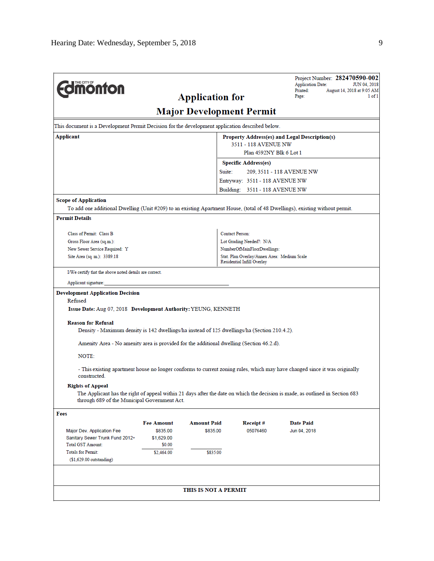| <b>dimonton</b>                                                                                                                                                                                                                                                                                                                               |                                                                           | <b>Application for</b>          |                                                         | Project Number: 282470590-002<br><b>Application Date:</b><br>JUN 04, 2018<br>Printed:<br>August 14, 2018 at 9:05 AM<br>Page:<br>1 of 1                                                                                                                      |
|-----------------------------------------------------------------------------------------------------------------------------------------------------------------------------------------------------------------------------------------------------------------------------------------------------------------------------------------------|---------------------------------------------------------------------------|---------------------------------|---------------------------------------------------------|-------------------------------------------------------------------------------------------------------------------------------------------------------------------------------------------------------------------------------------------------------------|
|                                                                                                                                                                                                                                                                                                                                               |                                                                           | <b>Major Development Permit</b> |                                                         |                                                                                                                                                                                                                                                             |
| This document is a Development Permit Decision for the development application described below.                                                                                                                                                                                                                                               |                                                                           |                                 |                                                         |                                                                                                                                                                                                                                                             |
| Applicant<br>Property Address(es) and Legal Description(s)                                                                                                                                                                                                                                                                                    |                                                                           |                                 |                                                         |                                                                                                                                                                                                                                                             |
|                                                                                                                                                                                                                                                                                                                                               |                                                                           |                                 | 3511 - 118 AVENUE NW<br>Plan 4592NY Blk 6 Lot 1         |                                                                                                                                                                                                                                                             |
|                                                                                                                                                                                                                                                                                                                                               |                                                                           |                                 |                                                         |                                                                                                                                                                                                                                                             |
|                                                                                                                                                                                                                                                                                                                                               |                                                                           | Suite:                          | <b>Specific Address(es)</b>                             | 209, 3511 - 118 AVENUE NW                                                                                                                                                                                                                                   |
|                                                                                                                                                                                                                                                                                                                                               |                                                                           |                                 | Entryway: 3511 - 118 AVENUE NW                          |                                                                                                                                                                                                                                                             |
|                                                                                                                                                                                                                                                                                                                                               |                                                                           |                                 | Building: 3511 - 118 AVENUE NW                          |                                                                                                                                                                                                                                                             |
| <b>Scope of Application</b>                                                                                                                                                                                                                                                                                                                   |                                                                           |                                 |                                                         |                                                                                                                                                                                                                                                             |
|                                                                                                                                                                                                                                                                                                                                               |                                                                           |                                 |                                                         | To add one additional Dwelling (Unit #209) to an existing Apartment House, (total of 48 Dwellings), existing without permit.                                                                                                                                |
| <b>Permit Details</b>                                                                                                                                                                                                                                                                                                                         |                                                                           |                                 |                                                         |                                                                                                                                                                                                                                                             |
|                                                                                                                                                                                                                                                                                                                                               |                                                                           |                                 |                                                         |                                                                                                                                                                                                                                                             |
| Class of Permit: Class B<br>Gross Floor Area (sq.m.):                                                                                                                                                                                                                                                                                         |                                                                           |                                 | <b>Contact Person:</b>                                  |                                                                                                                                                                                                                                                             |
| New Sewer Service Required: Y                                                                                                                                                                                                                                                                                                                 |                                                                           |                                 | Lot Grading Needed?: N/A<br>NumberOfMainFloorDwellings: |                                                                                                                                                                                                                                                             |
| Site Area (sq. m.): 3389.18                                                                                                                                                                                                                                                                                                                   | Stat. Plan Overlay/Annex Area: Medium Scale<br>Residential Infill Overlay |                                 |                                                         |                                                                                                                                                                                                                                                             |
| I/We certify that the above noted details are correct.                                                                                                                                                                                                                                                                                        |                                                                           |                                 |                                                         |                                                                                                                                                                                                                                                             |
| Applicant signature:                                                                                                                                                                                                                                                                                                                          |                                                                           |                                 |                                                         |                                                                                                                                                                                                                                                             |
| <b>Development Application Decision</b><br>Refused<br>Issue Date: Aug 07, 2018 Development Authority: YEUNG, KENNETH<br><b>Reason for Refusal</b><br>Density - Maximum density is 142 dwellings/ha instead of 125 dwellings/ha (Section 210.4.2).<br>Amenity Area - No amenity area is provided for the additional dwelling (Section 46.2.d). |                                                                           |                                 |                                                         |                                                                                                                                                                                                                                                             |
| NOTE:                                                                                                                                                                                                                                                                                                                                         |                                                                           |                                 |                                                         |                                                                                                                                                                                                                                                             |
| constructed.<br><b>Rights of Appeal</b><br>through 689 of the Municipal Government Act.                                                                                                                                                                                                                                                       |                                                                           |                                 |                                                         | - This existing apartment house no longer conforms to current zoning rules, which may have changed since it was originally<br>The Applicant has the right of appeal within 21 days after the date on which the decision is made, as outlined in Section 683 |
| Fees                                                                                                                                                                                                                                                                                                                                          |                                                                           |                                 |                                                         |                                                                                                                                                                                                                                                             |
|                                                                                                                                                                                                                                                                                                                                               | <b>Fee Amount</b>                                                         | <b>Amount Paid</b>              | Receipt#                                                | <b>Date Paid</b>                                                                                                                                                                                                                                            |
| Major Dev. Application Fee<br>Sanitary Sewer Trunk Fund 2012+<br><b>Total GST Amount:</b><br><b>Totals for Permit:</b><br>$($1,629.00$ outstanding)                                                                                                                                                                                           | \$835.00<br>\$1,629.00<br>\$0.00<br>\$2,464.00                            | \$835.00<br>\$835.00            | 05076460                                                | Jun 04, 2018                                                                                                                                                                                                                                                |
|                                                                                                                                                                                                                                                                                                                                               |                                                                           |                                 |                                                         |                                                                                                                                                                                                                                                             |
|                                                                                                                                                                                                                                                                                                                                               |                                                                           | THIS IS NOT A PERMIT            |                                                         |                                                                                                                                                                                                                                                             |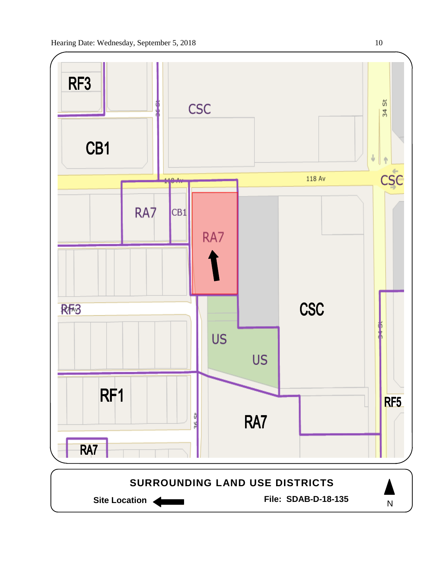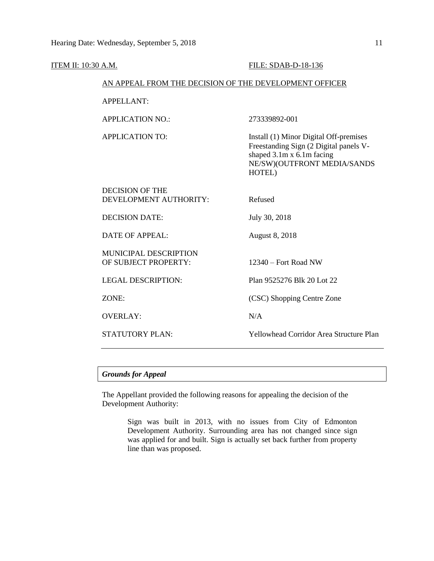| <b>ITEM II: 10:30 A.M.</b> |                                                        | FILE: SDAB-D-18-136                                                                                                                                    |  |  |  |
|----------------------------|--------------------------------------------------------|--------------------------------------------------------------------------------------------------------------------------------------------------------|--|--|--|
|                            | AN APPEAL FROM THE DECISION OF THE DEVELOPMENT OFFICER |                                                                                                                                                        |  |  |  |
|                            | <b>APPELLANT:</b>                                      |                                                                                                                                                        |  |  |  |
|                            | <b>APPLICATION NO.:</b>                                | 273339892-001                                                                                                                                          |  |  |  |
|                            | <b>APPLICATION TO:</b>                                 | Install (1) Minor Digital Off-premises<br>Freestanding Sign (2 Digital panels V-<br>shaped 3.1m x 6.1m facing<br>NE/SW)(OUTFRONT MEDIA/SANDS<br>HOTEL) |  |  |  |
|                            | <b>DECISION OF THE</b><br>DEVELOPMENT AUTHORITY:       | Refused                                                                                                                                                |  |  |  |
|                            | <b>DECISION DATE:</b>                                  | July 30, 2018                                                                                                                                          |  |  |  |
|                            | <b>DATE OF APPEAL:</b>                                 | <b>August 8, 2018</b>                                                                                                                                  |  |  |  |
|                            | <b>MUNICIPAL DESCRIPTION</b><br>OF SUBJECT PROPERTY:   | 12340 – Fort Road NW                                                                                                                                   |  |  |  |
|                            | <b>LEGAL DESCRIPTION:</b>                              | Plan 9525276 Blk 20 Lot 22                                                                                                                             |  |  |  |
|                            | ZONE:                                                  | (CSC) Shopping Centre Zone                                                                                                                             |  |  |  |
|                            | <b>OVERLAY:</b>                                        | N/A                                                                                                                                                    |  |  |  |
|                            | <b>STATUTORY PLAN:</b>                                 | Yellowhead Corridor Area Structure Plan                                                                                                                |  |  |  |
|                            |                                                        |                                                                                                                                                        |  |  |  |

# *Grounds for Appeal*

The Appellant provided the following reasons for appealing the decision of the Development Authority:

> Sign was built in 2013, with no issues from City of Edmonton Development Authority. Surrounding area has not changed since sign was applied for and built. Sign is actually set back further from property line than was proposed.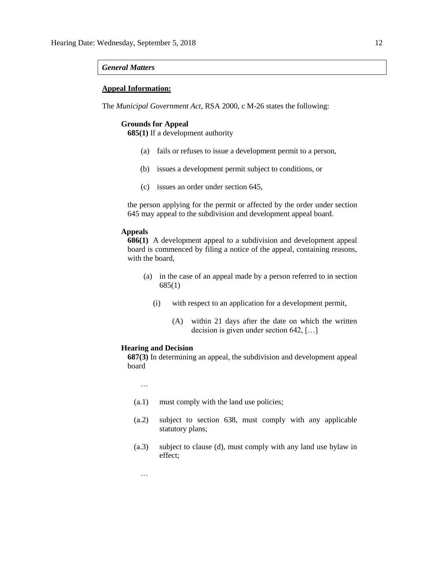#### *General Matters*

### **Appeal Information:**

The *Municipal Government Act*, RSA 2000, c M-26 states the following:

## **Grounds for Appeal**

**685(1)** If a development authority

- (a) fails or refuses to issue a development permit to a person,
- (b) issues a development permit subject to conditions, or
- (c) issues an order under section 645,

the person applying for the permit or affected by the order under section 645 may appeal to the subdivision and development appeal board.

### **Appeals**

**686(1)** A development appeal to a subdivision and development appeal board is commenced by filing a notice of the appeal, containing reasons, with the board,

- (a) in the case of an appeal made by a person referred to in section 685(1)
	- (i) with respect to an application for a development permit,
		- (A) within 21 days after the date on which the written decision is given under section 642, […]

#### **Hearing and Decision**

**687(3)** In determining an appeal, the subdivision and development appeal board

…

- (a.1) must comply with the land use policies;
- (a.2) subject to section 638, must comply with any applicable statutory plans;
- (a.3) subject to clause (d), must comply with any land use bylaw in effect;

…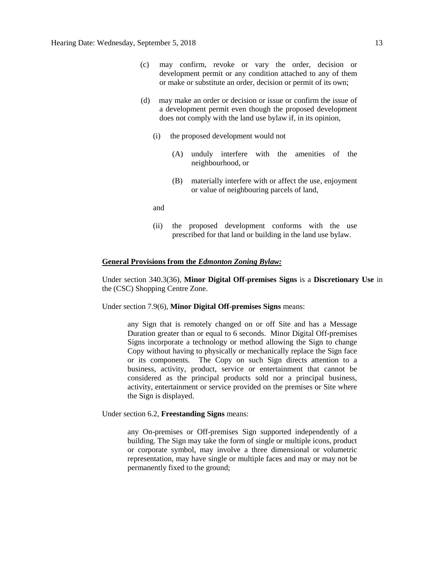- (c) may confirm, revoke or vary the order, decision or development permit or any condition attached to any of them or make or substitute an order, decision or permit of its own;
- (d) may make an order or decision or issue or confirm the issue of a development permit even though the proposed development does not comply with the land use bylaw if, in its opinion,
	- (i) the proposed development would not
		- (A) unduly interfere with the amenities of the neighbourhood, or
		- (B) materially interfere with or affect the use, enjoyment or value of neighbouring parcels of land,

and

(ii) the proposed development conforms with the use prescribed for that land or building in the land use bylaw.

#### **General Provisions from the** *Edmonton Zoning Bylaw:*

Under section 340.3(36), **Minor Digital Off-premises Signs** is a **Discretionary Use** in the (CSC) Shopping Centre Zone.

#### Under section 7.9(6), **Minor Digital Off-premises Signs** means:

any Sign that is remotely changed on or off Site and has a Message Duration greater than or equal to 6 seconds. Minor Digital Off-premises Signs incorporate a technology or method allowing the Sign to change Copy without having to physically or mechanically replace the Sign face or its components. The Copy on such Sign directs attention to a business, activity, product, service or entertainment that cannot be considered as the principal products sold nor a principal business, activity, entertainment or service provided on the premises or Site where the Sign is displayed.

# Under section 6.2, **Freestanding Signs** means:

any On-premises or Off-premises Sign supported independently of a building. The Sign may take the form of single or multiple icons, product or corporate symbol, may involve a three dimensional or volumetric representation, may have single or multiple faces and may or may not be permanently fixed to the ground;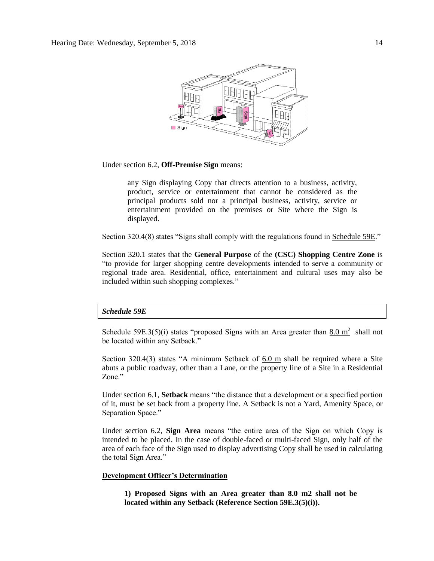

Under section 6.2, **Off-Premise Sign** means:

any Sign displaying Copy that directs attention to a business, activity, product, service or entertainment that cannot be considered as the principal products sold nor a principal business, activity, service or entertainment provided on the premises or Site where the Sign is displayed.

Section 320.4(8) states "Signs shall comply with the regulations found in Schedule 59E."

Section 320.1 states that the **General Purpose** of the **(CSC) Shopping Centre Zone** is "to provide for larger shopping centre developments intended to serve a community or regional trade area. Residential, office, entertainment and cultural uses may also be included within such shopping complexes."

## *Schedule 59E*

Schedule 59E.3(5)(i) states "proposed Signs with an Area greater than  $8.0 \text{ m}^2$  shall not be located within any Setback."

Section 320.4(3) states "A minimum Setback of 6.0 m shall be required where a Site abuts a public roadway, other than a Lane, or the property line of a Site in a Residential Zone."

Under section 6.1, **Setback** means "the distance that a development or a specified portion of it, must be set back from a property line. A Setback is not a Yard, Amenity Space, or Separation Space."

Under section 6.2, **Sign Area** means "the entire area of the Sign on which Copy is intended to be placed. In the case of double-faced or multi-faced Sign, only half of the area of each face of the Sign used to display advertising Copy shall be used in calculating the total Sign Area."

# **Development Officer's Determination**

**1) Proposed Signs with an Area greater than 8.0 m2 shall not be located within any Setback (Reference Section 59E.3(5)(i)).**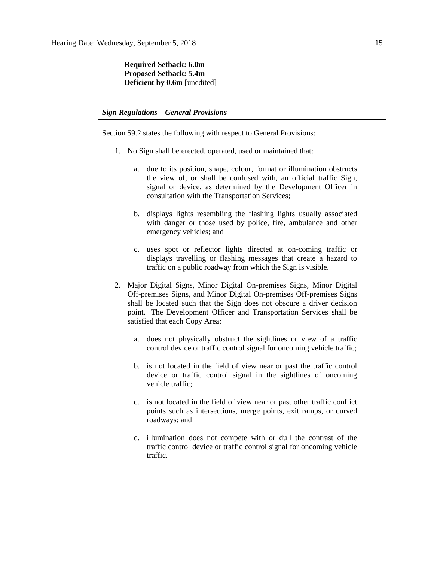# **Required Setback: 6.0m Proposed Setback: 5.4m Deficient by 0.6m** [unedited]

### *Sign Regulations – General Provisions*

Section 59.2 states the following with respect to General Provisions:

- 1. No Sign shall be erected, operated, used or maintained that:
	- a. due to its position, shape, colour, format or illumination obstructs the view of, or shall be confused with, an official traffic Sign, signal or device, as determined by the Development Officer in consultation with the Transportation Services;
	- b. displays lights resembling the flashing lights usually associated with danger or those used by police, fire, ambulance and other emergency vehicles; and
	- c. uses spot or reflector lights directed at on-coming traffic or displays travelling or flashing messages that create a hazard to traffic on a public roadway from which the Sign is visible.
- 2. Major Digital Signs, Minor Digital On-premises Signs, Minor Digital Off-premises Signs, and Minor Digital On-premises Off-premises Signs shall be located such that the Sign does not obscure a driver decision point. The Development Officer and Transportation Services shall be satisfied that each Copy Area:
	- a. does not physically obstruct the sightlines or view of a traffic control device or traffic control signal for oncoming vehicle traffic;
	- b. is not located in the field of view near or past the traffic control device or traffic control signal in the sightlines of oncoming vehicle traffic;
	- c. is not located in the field of view near or past other traffic conflict points such as intersections, merge points, exit ramps, or curved roadways; and
	- d. illumination does not compete with or dull the contrast of the traffic control device or traffic control signal for oncoming vehicle traffic.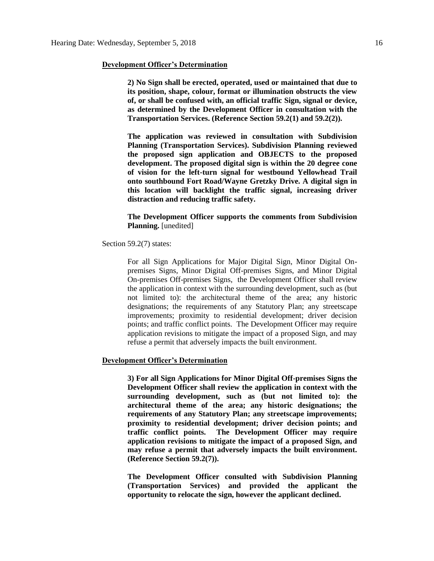#### **Development Officer's Determination**

**2) No Sign shall be erected, operated, used or maintained that due to its position, shape, colour, format or illumination obstructs the view of, or shall be confused with, an official traffic Sign, signal or device, as determined by the Development Officer in consultation with the Transportation Services. (Reference Section 59.2(1) and 59.2(2)).**

**The application was reviewed in consultation with Subdivision Planning (Transportation Services). Subdivision Planning reviewed the proposed sign application and OBJECTS to the proposed development. The proposed digital sign is within the 20 degree cone of vision for the left-turn signal for westbound Yellowhead Trail onto southbound Fort Road/Wayne Gretzky Drive. A digital sign in this location will backlight the traffic signal, increasing driver distraction and reducing traffic safety.** 

**The Development Officer supports the comments from Subdivision Planning.** [unedited]

Section 59.2(7) states:

For all Sign Applications for Major Digital Sign, Minor Digital Onpremises Signs, Minor Digital Off-premises Signs, and Minor Digital On-premises Off-premises Signs, the Development Officer shall review the application in context with the surrounding development, such as (but not limited to): the architectural theme of the area; any historic designations; the requirements of any Statutory Plan; any streetscape improvements; proximity to residential development; driver decision points; and traffic conflict points. The Development Officer may require application revisions to mitigate the impact of a proposed Sign, and may refuse a permit that adversely impacts the built environment.

### **Development Officer's Determination**

**3) For all Sign Applications for Minor Digital Off-premises Signs the Development Officer shall review the application in context with the surrounding development, such as (but not limited to): the architectural theme of the area; any historic designations; the requirements of any Statutory Plan; any streetscape improvements; proximity to residential development; driver decision points; and traffic conflict points. The Development Officer may require application revisions to mitigate the impact of a proposed Sign, and may refuse a permit that adversely impacts the built environment. (Reference Section 59.2(7)).**

**The Development Officer consulted with Subdivision Planning (Transportation Services) and provided the applicant the opportunity to relocate the sign, however the applicant declined.**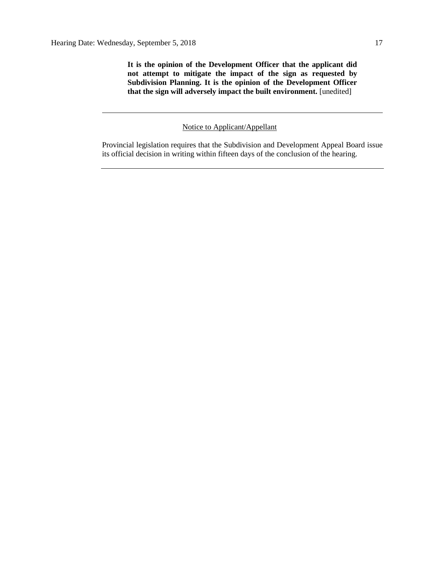**It is the opinion of the Development Officer that the applicant did not attempt to mitigate the impact of the sign as requested by Subdivision Planning. It is the opinion of the Development Officer that the sign will adversely impact the built environment.** [unedited]

Notice to Applicant/Appellant

Provincial legislation requires that the Subdivision and Development Appeal Board issue its official decision in writing within fifteen days of the conclusion of the hearing.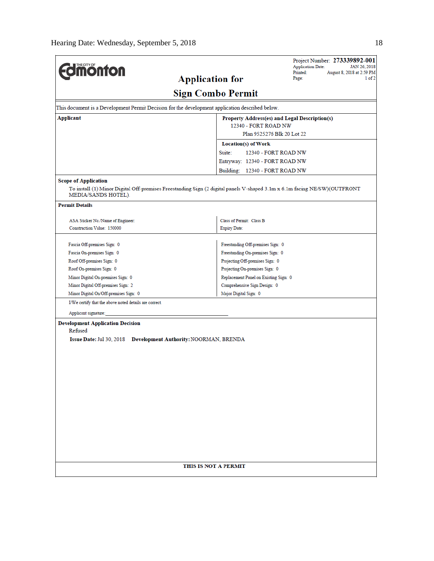| <b>Edmonton</b>                                                                                                       | Project Number: 273339892-001<br><b>Application Date:</b><br>JAN 26, 2018<br>Printed:<br>August 8, 2018 at 2:59 PM<br><b>Application for</b><br>1 of 2<br>Page: |  |  |  |  |
|-----------------------------------------------------------------------------------------------------------------------|-----------------------------------------------------------------------------------------------------------------------------------------------------------------|--|--|--|--|
| <b>Sign Combo Permit</b>                                                                                              |                                                                                                                                                                 |  |  |  |  |
|                                                                                                                       |                                                                                                                                                                 |  |  |  |  |
| This document is a Development Permit Decision for the development application described below.                       |                                                                                                                                                                 |  |  |  |  |
| Applicant                                                                                                             | Property Address(es) and Legal Description(s)                                                                                                                   |  |  |  |  |
|                                                                                                                       | 12340 - FORT ROAD NW<br>Plan 9525276 Blk 20 Lot 22                                                                                                              |  |  |  |  |
|                                                                                                                       |                                                                                                                                                                 |  |  |  |  |
|                                                                                                                       | <b>Location(s)</b> of Work                                                                                                                                      |  |  |  |  |
|                                                                                                                       | Suite:<br>12340 - FORT ROAD NW                                                                                                                                  |  |  |  |  |
|                                                                                                                       | Entryway: 12340 - FORT ROAD NW                                                                                                                                  |  |  |  |  |
|                                                                                                                       | Building: 12340 - FORT ROAD NW                                                                                                                                  |  |  |  |  |
| <b>Scope of Application</b><br>MEDIA/SANDS HOTEL).<br><b>Permit Details</b>                                           | To install (1) Minor Digital Off-premises Freestanding Sign (2 digital panels V-shaped 3.1m x 6.1m facing NE/SW)(OUTFRONT                                       |  |  |  |  |
|                                                                                                                       |                                                                                                                                                                 |  |  |  |  |
| ASA Sticker No./Name of Engineer:<br>Construction Value: 150000                                                       | Class of Permit: Class B                                                                                                                                        |  |  |  |  |
|                                                                                                                       | <b>Expiry Date:</b>                                                                                                                                             |  |  |  |  |
| Fascia Off-premises Sign: 0                                                                                           | Freestanding Off-premises Sign: 0                                                                                                                               |  |  |  |  |
| Fascia On-premises Sign: 0                                                                                            | Freestanding On-premises Sign: 0                                                                                                                                |  |  |  |  |
| Roof Off-premises Sign: 0                                                                                             | Projecting Off-premises Sign: 0                                                                                                                                 |  |  |  |  |
| Roof On-premises Sign: 0                                                                                              | Projecting On-premises Sign: 0                                                                                                                                  |  |  |  |  |
| Minor Digital On-premises Sign: 0                                                                                     | Replacement Panel on Existing Sign: 0                                                                                                                           |  |  |  |  |
| Minor Digital Off-premises Sign: 2                                                                                    | Comprehensive Sign Design: 0                                                                                                                                    |  |  |  |  |
| Minor Digital On/Off-premises Sign: 0                                                                                 | Major Digital Sign: 0                                                                                                                                           |  |  |  |  |
| I/We certify that the above noted details are correct.                                                                |                                                                                                                                                                 |  |  |  |  |
| Applicant signature:                                                                                                  |                                                                                                                                                                 |  |  |  |  |
| <b>Development Application Decision</b><br>Refused<br>Issue Date: Jul 30, 2018 Development Authority: NOORMAN, BRENDA |                                                                                                                                                                 |  |  |  |  |
|                                                                                                                       | THIS IS NOT A PERMIT                                                                                                                                            |  |  |  |  |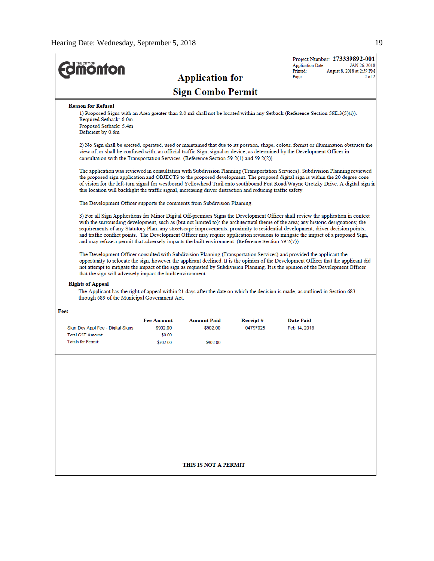$\overline{a}$ 

|                                                                                                             |                    |                          |           | Project Number: 273339892-001<br><b>Application Date:</b><br>JAN 26, 2018                                                                                                                                                                                                                                                                                                                                                                                                                                                                        |
|-------------------------------------------------------------------------------------------------------------|--------------------|--------------------------|-----------|--------------------------------------------------------------------------------------------------------------------------------------------------------------------------------------------------------------------------------------------------------------------------------------------------------------------------------------------------------------------------------------------------------------------------------------------------------------------------------------------------------------------------------------------------|
| <b>monton</b>                                                                                               |                    |                          |           | Printed:<br>August 8, 2018 at 2:59 PM<br>$2$ of $2$<br>Page:                                                                                                                                                                                                                                                                                                                                                                                                                                                                                     |
|                                                                                                             |                    | <b>Application for</b>   |           |                                                                                                                                                                                                                                                                                                                                                                                                                                                                                                                                                  |
|                                                                                                             |                    | <b>Sign Combo Permit</b> |           |                                                                                                                                                                                                                                                                                                                                                                                                                                                                                                                                                  |
| <b>Reason for Refusal</b><br>Required Setback: 6.0m                                                         |                    |                          |           | 1) Proposed Signs with an Area greater than 8.0 m2 shall not be located within any Setback (Reference Section 59E.3(5)(i)).                                                                                                                                                                                                                                                                                                                                                                                                                      |
| Proposed Setback: 5.4m<br>Deficient by 0.6m                                                                 |                    |                          |           |                                                                                                                                                                                                                                                                                                                                                                                                                                                                                                                                                  |
| consultation with the Transportation Services. (Reference Section 59.2(1) and 59.2(2)).                     |                    |                          |           | 2) No Sign shall be erected, operated, used or maintained that due to its position, shape, colour, format or illumination obstructs the<br>view of, or shall be confused with, an official traffic Sign, signal or device, as determined by the Development Officer in                                                                                                                                                                                                                                                                           |
| this location will backlight the traffic signal, increasing driver distraction and reducing traffic safety. |                    |                          |           | The application was reviewed in consultation with Subdivision Planning (Transportation Services). Subdivision Planning reviewed<br>the proposed sign application and OBJECTS to the proposed development. The proposed digital sign is within the 20 degree cone<br>of vision for the left-turn signal for westbound Yellowhead Trail onto southbound Fort Road/Wayne Gretzky Drive. A digital sign in                                                                                                                                           |
| The Development Officer supports the comments from Subdivision Planning.                                    |                    |                          |           |                                                                                                                                                                                                                                                                                                                                                                                                                                                                                                                                                  |
| and may refuse a permit that adversely impacts the built environment. (Reference Section 59.2(7)).          |                    |                          |           | 3) For all Sign Applications for Minor Digital Off-premises Signs the Development Officer shall review the application in context<br>with the surrounding development, such as (but not limited to): the architectural theme of the area; any historic designations; the<br>requirements of any Statutory Plan; any streetscape improvements; proximity to residential development; driver decision points;<br>and traffic conflict points. The Development Officer may require application revisions to mitigate the impact of a proposed Sign, |
| that the sign will adversely impact the built environment.<br><b>Rights of Appeal</b>                       |                    |                          |           | The Development Officer consulted with Subdivision Planning (Transportation Services) and provided the applicant the<br>opportunity to relocate the sign, however the applicant declined. It is the opinion of the Development Officer that the applicant did<br>not attempt to mitigate the impact of the sign as requested by Subdivision Planning. It is the opinion of the Development Officer                                                                                                                                               |
| through 689 of the Municipal Government Act.                                                                |                    |                          |           | The Applicant has the right of appeal within 21 days after the date on which the decision is made, as outlined in Section 683                                                                                                                                                                                                                                                                                                                                                                                                                    |
| Fees                                                                                                        |                    |                          |           |                                                                                                                                                                                                                                                                                                                                                                                                                                                                                                                                                  |
|                                                                                                             | <b>Fee Amount</b>  | <b>Amount Paid</b>       | Receipt # | <b>Date Paid</b>                                                                                                                                                                                                                                                                                                                                                                                                                                                                                                                                 |
| Sign Dev Appl Fee - Digital Signs<br>Total GST Amount:                                                      | \$902.00<br>\$0.00 | \$902.00                 | 04797025  | Feb 14, 2018                                                                                                                                                                                                                                                                                                                                                                                                                                                                                                                                     |
| <b>Totals for Permit:</b>                                                                                   | \$902.00           | \$902.00                 |           |                                                                                                                                                                                                                                                                                                                                                                                                                                                                                                                                                  |
|                                                                                                             |                    |                          |           |                                                                                                                                                                                                                                                                                                                                                                                                                                                                                                                                                  |
|                                                                                                             |                    | THIS IS NOT A PERMIT     |           |                                                                                                                                                                                                                                                                                                                                                                                                                                                                                                                                                  |
|                                                                                                             |                    |                          |           |                                                                                                                                                                                                                                                                                                                                                                                                                                                                                                                                                  |